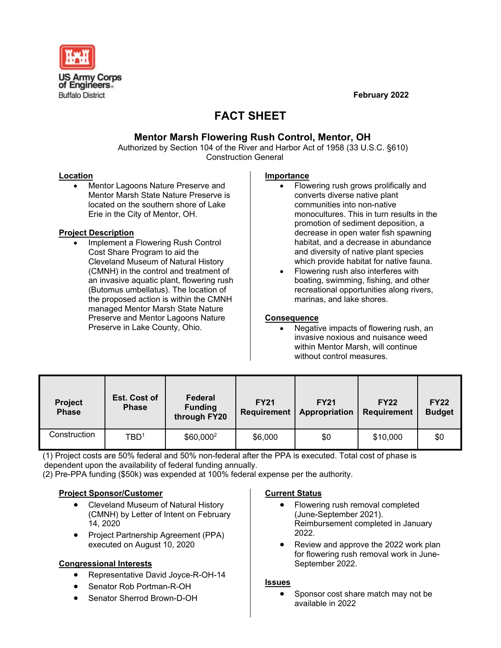

**February 2022**

# **FACT SHEET**

# **Mentor Marsh Flowering Rush Control, Mentor, OH**

Authorized by Section 104 of the River and Harbor Act of 1958 (33 U.S.C. §610) Construction General

#### **Location**

• Mentor Lagoons Nature Preserve and Mentor Marsh State Nature Preserve is located on the southern shore of Lake Erie in the City of Mentor, OH.

#### **Project Description**

• Implement a Flowering Rush Control Cost Share Program to aid the Cleveland Museum of Natural History (CMNH) in the control and treatment of an invasive aquatic plant, flowering rush (Butomus umbellatus). The location of the proposed action is within the CMNH managed Mentor Marsh State Nature Preserve and Mentor Lagoons Nature Preserve in Lake County, Ohio.

#### **Importance**

- Flowering rush grows prolifically and converts diverse native plant communities into non-native monocultures. This in turn results in the promotion of sediment deposition, a decrease in open water fish spawning habitat, and a decrease in abundance and diversity of native plant species which provide habitat for native fauna.
- Flowering rush also interferes with boating, swimming, fishing, and other recreational opportunities along rivers, marinas, and lake shores.

#### **Consequence**

• Negative impacts of flowering rush, an invasive noxious and nuisance weed within Mentor Marsh, will continue without control measures.

| <b>Project</b><br><b>Phase</b> | Est. Cost of<br><b>Phase</b> | Federal<br><b>Funding</b><br>through FY20 | <b>FY21</b><br><b>Requirement</b> | <b>FY21</b><br>Appropriation | <b>FY22</b><br>Requirement | <b>FY22</b><br><b>Budget</b> |
|--------------------------------|------------------------------|-------------------------------------------|-----------------------------------|------------------------------|----------------------------|------------------------------|
| Construction                   | TBD <sup>1</sup>             | \$60,000 <sup>2</sup>                     | \$6,000                           | \$0                          | \$10,000                   | \$0                          |

(1) Project costs are 50% federal and 50% non-federal after the PPA is executed. Total cost of phase is dependent upon the availability of federal funding annually.

(2) Pre-PPA funding (\$50k) was expended at 100% federal expense per the authority.

## **Project Sponsor/Customer**

- Cleveland Museum of Natural History (CMNH) by Letter of Intent on February 14, 2020
- Project Partnership Agreement (PPA) executed on August 10, 2020

#### **Congressional Interests**

- Representative David Joyce-R-OH-14
- Senator Rob Portman-R-OH
- Senator Sherrod Brown-D-OH

## **Current Status**

- Flowering rush removal completed (June-September 2021). Reimbursement completed in January 2022.
- Review and approve the 2022 work plan for flowering rush removal work in June-September 2022.

#### **Issues**

• Sponsor cost share match may not be available in 2022